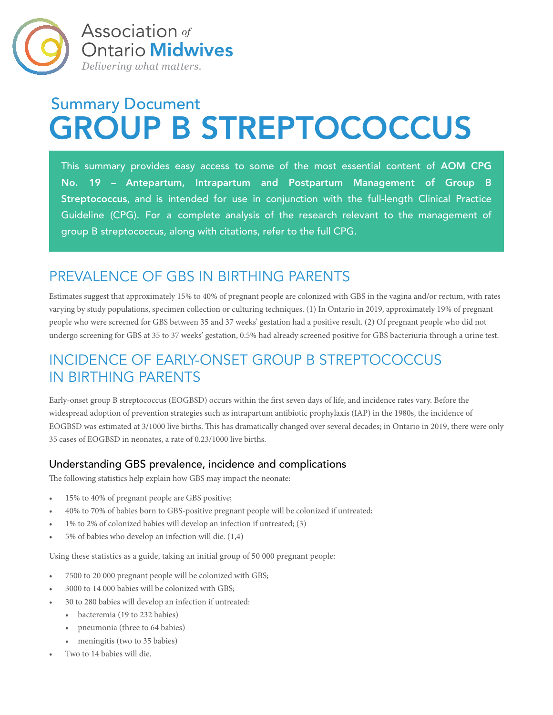

# Summary Document GROUP B STREPTOCOCCUS

This summary provides easy access to some of the most essential content of AOM CPG No. 19 – Antepartum, Intrapartum and Postpartum Management of Group B Streptococcus, and is intended for use in conjunction with the full-length Clinical Practice Guideline (CPG). For a complete analysis of the research relevant to the management of group B streptococcus, along with citations, refer to the full CPG.

### PREVALENCE OF GBS IN BIRTHING PARENTS

Estimates suggest that approximately 15% to 40% of pregnant people are colonized with GBS in the vagina and/or rectum, with rates varying by study populations, specimen collection or culturing techniques. (1) In Ontario in 2019, approximately 19% of pregnant people who were screened for GBS between 35 and 37 weeks' gestation had a positive result. (2) Of pregnant people who did not undergo screening for GBS at 35 to 37 weeks' gestation, 0.5% had already screened positive for GBS bacteriuria through a urine test.

### INCIDENCE OF EARLY-ONSET GROUP B STREPTOCOCCUS IN BIRTHING PARENTS

Early-onset group B streptococcus (EOGBSD) occurs within the first seven days of life, and incidence rates vary. Before the widespread adoption of prevention strategies such as intrapartum antibiotic prophylaxis (IAP) in the 1980s, the incidence of EOGBSD was estimated at 3/1000 live births. This has dramatically changed over several decades; in Ontario in 2019, there were only 35 cases of EOGBSD in neonates, a rate of 0.23/1000 live births.

### Understanding GBS prevalence, incidence and complications

The following statistics help explain how GBS may impact the neonate:

- 15% to 40% of pregnant people are GBS positive;
- 40% to 70% of babies born to GBS-positive pregnant people will be colonized if untreated;
- 1% to 2% of colonized babies will develop an infection if untreated; (3)
- 5% of babies who develop an infection will die. (1,4)

Using these statistics as a guide, taking an initial group of 50 000 pregnant people:

- 7500 to 20 000 pregnant people will be colonized with GBS;
- 3000 to 14 000 babies will be colonized with GBS;
- 30 to 280 babies will develop an infection if untreated:
	- bacteremia (19 to 232 babies)
	- pneumonia (three to 64 babies)
	- meningitis (two to 35 babies)
- Two to 14 babies will die.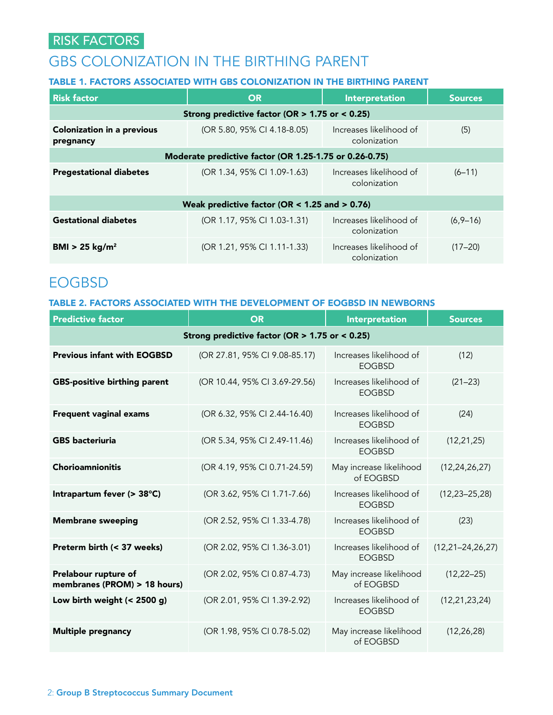### RISK FACTORS

### GBS COLONIZATION IN THE BIRTHING PARENT

### TABLE 1. FACTORS ASSOCIATED WITH GBS COLONIZATION IN THE BIRTHING PARENT

| <b>Risk factor</b>                                     | <b>OR</b>                   | Interpretation                          | <b>Sources</b> |  |  |  |  |  |
|--------------------------------------------------------|-----------------------------|-----------------------------------------|----------------|--|--|--|--|--|
| Strong predictive factor (OR $> 1.75$ or < 0.25)       |                             |                                         |                |  |  |  |  |  |
| <b>Colonization in a previous</b><br>pregnancy         | (OR 5.80, 95% CI 4.18-8.05) | Increases likelihood of<br>colonization | (5)            |  |  |  |  |  |
| Moderate predictive factor (OR 1.25-1.75 or 0.26-0.75) |                             |                                         |                |  |  |  |  |  |
| <b>Pregestational diabetes</b>                         | (OR 1.34, 95% CI 1.09-1.63) | Increases likelihood of<br>colonization | $(6 - 11)$     |  |  |  |  |  |
| Weak predictive factor (OR $<$ 1.25 and $>$ 0.76)      |                             |                                         |                |  |  |  |  |  |
| <b>Gestational diabetes</b>                            | (OR 1.17, 95% CI 1.03-1.31) | Increases likelihood of<br>colonization | $(6,9-16)$     |  |  |  |  |  |
| BMI > 25 kg/m <sup>2</sup>                             | (OR 1.21, 95% CI 1.11-1.33) | Increases likelihood of<br>colonization | $(17 - 20)$    |  |  |  |  |  |

### EOGBSD

### TABLE 2. FACTORS ASSOCIATED WITH THE DEVELOPMENT OF EOGBSD IN NEWBORNS

| <b>Predictive factor</b>                             | <b>OR</b>                     | Interpretation                           | <b>Sources</b>          |  |  |  |  |
|------------------------------------------------------|-------------------------------|------------------------------------------|-------------------------|--|--|--|--|
| Strong predictive factor (OR $> 1.75$ or < 0.25)     |                               |                                          |                         |  |  |  |  |
| <b>Previous infant with EOGBSD</b>                   | (OR 27.81, 95% CI 9.08-85.17) | Increases likelihood of<br><b>EOGBSD</b> | (12)                    |  |  |  |  |
| <b>GBS-positive birthing parent</b>                  | (OR 10.44, 95% CI 3.69-29.56) | Increases likelihood of<br><b>EOGBSD</b> | $(21 - 23)$             |  |  |  |  |
| <b>Frequent vaginal exams</b>                        | (OR 6.32, 95% CI 2.44-16.40)  | Increases likelihood of<br><b>EOGBSD</b> | (24)                    |  |  |  |  |
| <b>GBS</b> bacteriuria                               | (OR 5.34, 95% CI 2.49-11.46)  | Increases likelihood of<br><b>EOGBSD</b> | (12, 21, 25)            |  |  |  |  |
| <b>Chorioamnionitis</b>                              | (OR 4.19, 95% CI 0.71-24.59)  | May increase likelihood<br>of EOGBSD     | (12, 24, 26, 27)        |  |  |  |  |
| Intrapartum fever (> 38°C)                           | (OR 3.62, 95% CI 1.71-7.66)   | Increases likelihood of<br><b>EOGBSD</b> | $(12, 23 - 25, 28)$     |  |  |  |  |
| <b>Membrane sweeping</b>                             | (OR 2.52, 95% CI 1.33-4.78)   | Increases likelihood of<br><b>EOGBSD</b> | (23)                    |  |  |  |  |
| Preterm birth (< 37 weeks)                           | (OR 2.02, 95% CI 1.36-3.01)   | Increases likelihood of<br><b>FOGBSD</b> | $(12, 21 - 24, 26, 27)$ |  |  |  |  |
| Prelabour rupture of<br>membranes (PROM) > 18 hours) | (OR 2.02, 95% CI 0.87-4.73)   | May increase likelihood<br>of EOGBSD     | $(12, 22 - 25)$         |  |  |  |  |
| Low birth weight $(< 2500 g)$                        | (OR 2.01, 95% CI 1.39-2.92)   | Increases likelihood of<br><b>EOGBSD</b> | (12, 21, 23, 24)        |  |  |  |  |
| <b>Multiple pregnancy</b>                            | (OR 1.98, 95% CI 0.78-5.02)   | May increase likelihood<br>of EOGBSD     | (12, 26, 28)            |  |  |  |  |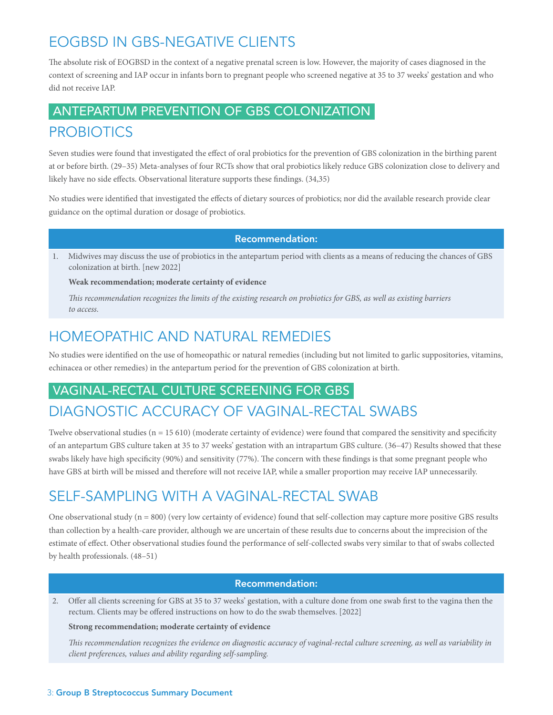# EOGBSD IN GBS-NEGATIVE CLIENTS

The absolute risk of EOGBSD in the context of a negative prenatal screen is low. However, the majority of cases diagnosed in the context of screening and IAP occur in infants born to pregnant people who screened negative at 35 to 37 weeks' gestation and who did not receive IAP.

# ANTEPARTUM PREVENTION OF GBS COLONIZATION

### PROBIOTICS

Seven studies were found that investigated the effect of oral probiotics for the prevention of GBS colonization in the birthing parent at or before birth. (29–35) Meta-analyses of four RCTs show that oral probiotics likely reduce GBS colonization close to delivery and likely have no side effects. Observational literature supports these findings. (34,35)

No studies were identified that investigated the effects of dietary sources of probiotics; nor did the available research provide clear guidance on the optimal duration or dosage of probiotics.

### Recommendation:

1. Midwives may discuss the use of probiotics in the antepartum period with clients as a means of reducing the chances of GBS colonization at birth. [new 2022]

### **Weak recommendation; moderate certainty of evidence**

*This recommendation recognizes the limits of the existing research on probiotics for GBS, as well as existing barriers to access.*

### HOMEOPATHIC AND NATURAL REMEDIES

No studies were identified on the use of homeopathic or natural remedies (including but not limited to garlic suppositories, vitamins, echinacea or other remedies) in the antepartum period for the prevention of GBS colonization at birth.

### VAGINAL-RECTAL CULTURE SCREENING FOR GBS

### DIAGNOSTIC ACCURACY OF VAGINAL-RECTAL SWABS

Twelve observational studies ( $n = 15610$ ) (moderate certainty of evidence) were found that compared the sensitivity and specificity of an antepartum GBS culture taken at 35 to 37 weeks' gestation with an intrapartum GBS culture. (36–47) Results showed that these swabs likely have high specificity (90%) and sensitivity (77%). The concern with these findings is that some pregnant people who have GBS at birth will be missed and therefore will not receive IAP, while a smaller proportion may receive IAP unnecessarily.

# SELF-SAMPLING WITH A VAGINAL-RECTAL SWAB

One observational study  $(n = 800)$  (very low certainty of evidence) found that self-collection may capture more positive GBS results than collection by a health-care provider, although we are uncertain of these results due to concerns about the imprecision of the estimate of effect. Other observational studies found the performance of self-collected swabs very similar to that of swabs collected by health professionals. (48–51)

### Recommendation:

2. Offer all clients screening for GBS at 35 to 37 weeks' gestation, with a culture done from one swab first to the vagina then the rectum. Clients may be offered instructions on how to do the swab themselves. [2022]

#### **Strong recommendation; moderate certainty of evidence**

*This recommendation recognizes the evidence on diagnostic accuracy of vaginal-rectal culture screening, as well as variability in client preferences, values and ability regarding self-sampling.*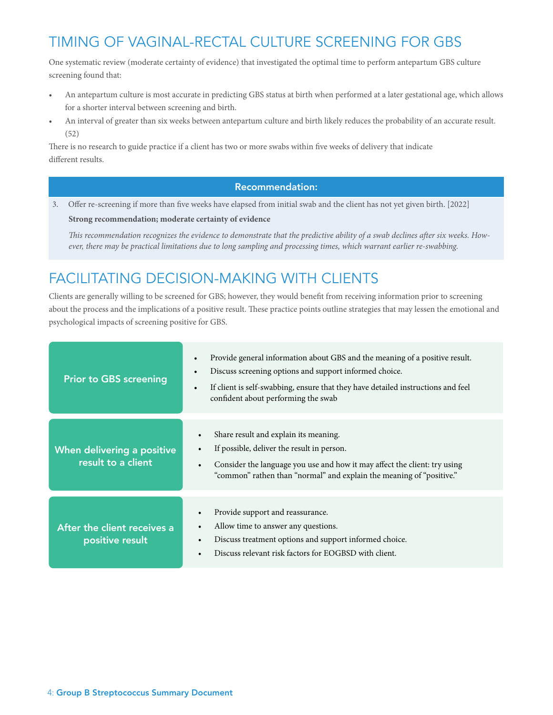# TIMING OF VAGINAL-RECTAL CULTURE SCREENING FOR GBS

One systematic review (moderate certainty of evidence) that investigated the optimal time to perform antepartum GBS culture screening found that:

- An antepartum culture is most accurate in predicting GBS status at birth when performed at a later gestational age, which allows for a shorter interval between screening and birth.
- An interval of greater than six weeks between antepartum culture and birth likely reduces the probability of an accurate result. (52)

There is no research to guide practice if a client has two or more swabs within five weeks of delivery that indicate different results.

### Recommendation:

3. Offer re-screening if more than five weeks have elapsed from initial swab and the client has not yet given birth. [2022]

**Strong recommendation; moderate certainty of evidence**

*This recommendation recognizes the evidence to demonstrate that the predictive ability of a swab declines after six weeks. However, there may be practical limitations due to long sampling and processing times, which warrant earlier re-swabbing.*

### FACILITATING DECISION-MAKING WITH CLIENTS

Clients are generally willing to be screened for GBS; however, they would benefit from receiving information prior to screening about the process and the implications of a positive result. These practice points outline strategies that may lessen the emotional and psychological impacts of screening positive for GBS.

| <b>Prior to GBS screening</b>                    | Provide general information about GBS and the meaning of a positive result.<br>$\bullet$<br>Discuss screening options and support informed choice.<br>$\bullet$<br>If client is self-swabbing, ensure that they have detailed instructions and feel<br>$\bullet$<br>confident about performing the swab |
|--------------------------------------------------|---------------------------------------------------------------------------------------------------------------------------------------------------------------------------------------------------------------------------------------------------------------------------------------------------------|
| When delivering a positive<br>result to a client | Share result and explain its meaning.<br>If possible, deliver the result in person.<br>Consider the language you use and how it may affect the client: try using<br>"common" rathen than "normal" and explain the meaning of "positive."                                                                |
| After the client receives a<br>positive result   | Provide support and reassurance.<br>Allow time to answer any questions.<br>$\bullet$<br>Discuss treatment options and support informed choice.<br>Discuss relevant risk factors for EOGBSD with client.                                                                                                 |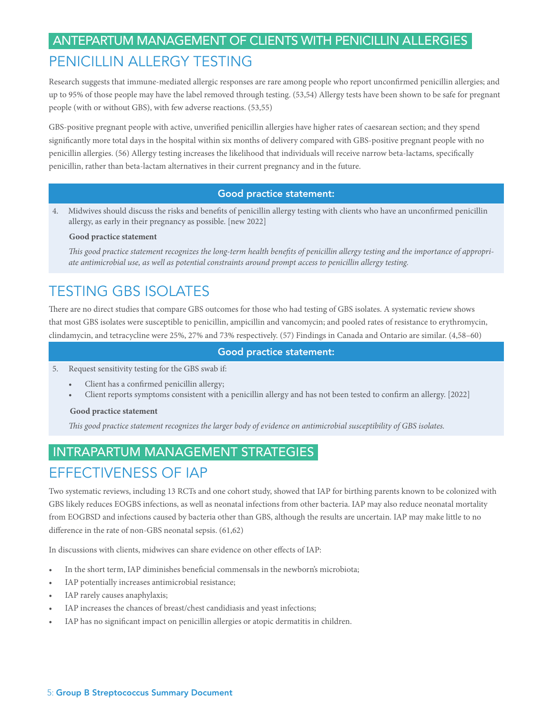## ANTEPARTUM MANAGEMENT OF CLIENTS WITH PENICILLIN ALLERGIES PENICILLIN ALLERGY TESTING

Research suggests that immune-mediated allergic responses are rare among people who report unconfirmed penicillin allergies; and up to 95% of those people may have the label removed through testing. (53,54) Allergy tests have been shown to be safe for pregnant people (with or without GBS), with few adverse reactions. (53,55)

GBS-positive pregnant people with active, unverified penicillin allergies have higher rates of caesarean section; and they spend significantly more total days in the hospital within six months of delivery compared with GBS-positive pregnant people with no penicillin allergies. (56) Allergy testing increases the likelihood that individuals will receive narrow beta-lactams, specifically penicillin, rather than beta-lactam alternatives in their current pregnancy and in the future.

### Good practice statement:

4. Midwives should discuss the risks and benefits of penicillin allergy testing with clients who have an unconfirmed penicillin allergy, as early in their pregnancy as possible. [new 2022]

#### **Good practice statement**

*This good practice statement recognizes the long-term health benefits of penicillin allergy testing and the importance of appropriate antimicrobial use, as well as potential constraints around prompt access to penicillin allergy testing.*

### TESTING GBS ISOLATES

There are no direct studies that compare GBS outcomes for those who had testing of GBS isolates. A systematic review shows that most GBS isolates were susceptible to penicillin, ampicillin and vancomycin; and pooled rates of resistance to erythromycin, clindamycin, and tetracycline were 25%, 27% and 73% respectively. (57) Findings in Canada and Ontario are similar. (4,58–60)

#### Good practice statement:

- 5. Request sensitivity testing for the GBS swab if:
	- Client has a confirmed penicillin allergy;
		- Client reports symptoms consistent with a penicillin allergy and has not been tested to confirm an allergy. [2022]

#### **Good practice statement**

*This good practice statement recognizes the larger body of evidence on antimicrobial susceptibility of GBS isolates.*

### INTRAPARTUM MANAGEMENT STRATEGIES

### EFFECTIVENESS OF IAP

Two systematic reviews, including 13 RCTs and one cohort study, showed that IAP for birthing parents known to be colonized with GBS likely reduces EOGBS infections, as well as neonatal infections from other bacteria. IAP may also reduce neonatal mortality from EOGBSD and infections caused by bacteria other than GBS, although the results are uncertain. IAP may make little to no difference in the rate of non-GBS neonatal sepsis. (61,62)

In discussions with clients, midwives can share evidence on other effects of IAP:

- In the short term, IAP diminishes beneficial commensals in the newborn's microbiota;
- IAP potentially increases antimicrobial resistance;
- IAP rarely causes anaphylaxis;
- IAP increases the chances of breast/chest candidiasis and yeast infections;
- IAP has no significant impact on penicillin allergies or atopic dermatitis in children.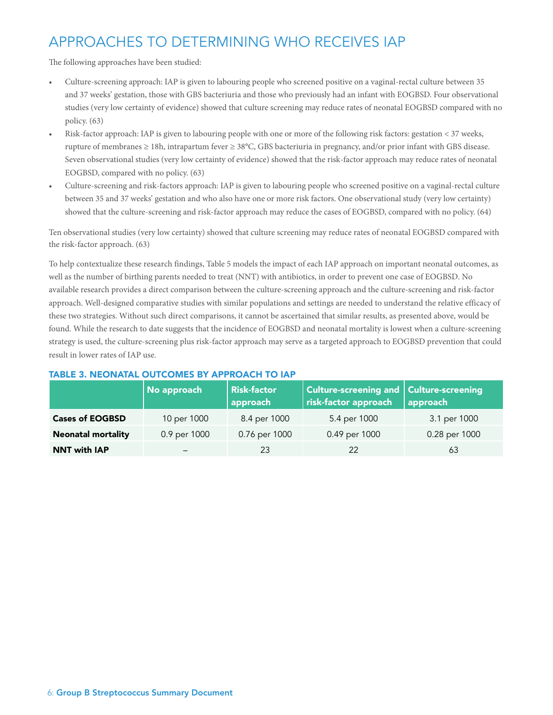# APPROACHES TO DETERMINING WHO RECEIVES IAP

The following approaches have been studied:

- Culture-screening approach: IAP is given to labouring people who screened positive on a vaginal-rectal culture between 35 and 37 weeks' gestation, those with GBS bacteriuria and those who previously had an infant with EOGBSD. Four observational studies (very low certainty of evidence) showed that culture screening may reduce rates of neonatal EOGBSD compared with no policy. (63)
- Risk-factor approach: IAP is given to labouring people with one or more of the following risk factors: gestation < 37 weeks, rupture of membranes ≥ 18h, intrapartum fever ≥ 38°C, GBS bacteriuria in pregnancy, and/or prior infant with GBS disease. Seven observational studies (very low certainty of evidence) showed that the risk-factor approach may reduce rates of neonatal EOGBSD, compared with no policy. (63)
- Culture-screening and risk-factors approach: IAP is given to labouring people who screened positive on a vaginal-rectal culture between 35 and 37 weeks' gestation and who also have one or more risk factors. One observational study (very low certainty) showed that the culture-screening and risk-factor approach may reduce the cases of EOGBSD, compared with no policy. (64)

Ten observational studies (very low certainty) showed that culture screening may reduce rates of neonatal EOGBSD compared with the risk-factor approach. (63)

To help contextualize these research findings, Table 5 models the impact of each IAP approach on important neonatal outcomes, as well as the number of birthing parents needed to treat (NNT) with antibiotics, in order to prevent one case of EOGBSD. No available research provides a direct comparison between the culture-screening approach and the culture-screening and risk-factor approach. Well-designed comparative studies with similar populations and settings are needed to understand the relative efficacy of these two strategies. Without such direct comparisons, it cannot be ascertained that similar results, as presented above, would be found. While the research to date suggests that the incidence of EOGBSD and neonatal mortality is lowest when a culture-screening strategy is used, the culture-screening plus risk-factor approach may serve as a targeted approach to EOGBSD prevention that could result in lower rates of IAP use.

|                           | No approach  | <b>Risk-factor</b><br>approach | <b>Culture-screening and Culture-screening</b><br>risk-factor approach | approach      |
|---------------------------|--------------|--------------------------------|------------------------------------------------------------------------|---------------|
| <b>Cases of EOGBSD</b>    | 10 per 1000  | 8.4 per 1000                   | 5.4 per 1000                                                           | 3.1 per 1000  |
| <b>Neonatal mortality</b> | 0.9 per 1000 | 0.76 per 1000                  | 0.49 per 1000                                                          | 0.28 per 1000 |
| <b>NNT with IAP</b>       | -            | 23                             | 22                                                                     | 63            |

### TABLE 3. NEONATAL OUTCOMES BY APPROACH TO IAP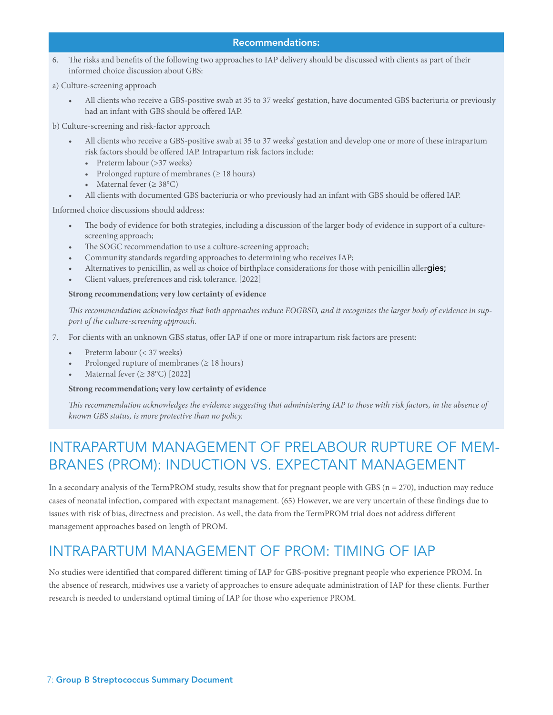6. The risks and benefits of the following two approaches to IAP delivery should be discussed with clients as part of their informed choice discussion about GBS:

a) Culture-screening approach

• All clients who receive a GBS-positive swab at 35 to 37 weeks' gestation, have documented GBS bacteriuria or previously had an infant with GBS should be offered IAP.

b) Culture-screening and risk-factor approach

- All clients who receive a GBS-positive swab at 35 to 37 weeks' gestation and develop one or more of these intrapartum risk factors should be offered IAP. Intrapartum risk factors include:
	- Preterm labour (>37 weeks)
	- Prolonged rupture of membranes (≥ 18 hours)
	- Maternal fever  $(\geq 38^{\circ}C)$
- All clients with documented GBS bacteriuria or who previously had an infant with GBS should be offered IAP.

Informed choice discussions should address:

- The body of evidence for both strategies, including a discussion of the larger body of evidence in support of a culturescreening approach;
- The SOGC recommendation to use a culture-screening approach;
- Community standards regarding approaches to determining who receives IAP;
- Alternatives to penicillin, as well as choice of birthplace considerations for those with penicillin allergies;
- Client values, preferences and risk tolerance. [2022]

#### **Strong recommendation; very low certainty of evidence**

*This recommendation acknowledges that both approaches reduce EOGBSD, and it recognizes the larger body of evidence in support of the culture-screening approach.* 

- 7. For clients with an unknown GBS status, offer IAP if one or more intrapartum risk factors are present:
	- Preterm labour (< 37 weeks)
	- Prolonged rupture of membranes ( $\geq$  18 hours)
	- Maternal fever ( $\geq 38^{\circ}$ C) [2022]

#### **Strong recommendation; very low certainty of evidence**

*This recommendation acknowledges the evidence suggesting that administering IAP to those with risk factors, in the absence of known GBS status, is more protective than no policy.*

### INTRAPARTUM MANAGEMENT OF PRELABOUR RUPTURE OF MEM-BRANES (PROM): INDUCTION VS. EXPECTANT MANAGEMENT

In a secondary analysis of the TermPROM study, results show that for pregnant people with GBS ( $n = 270$ ), induction may reduce cases of neonatal infection, compared with expectant management. (65) However, we are very uncertain of these findings due to issues with risk of bias, directness and precision. As well, the data from the TermPROM trial does not address different management approaches based on length of PROM.

### INTRAPARTUM MANAGEMENT OF PROM: TIMING OF IAP

No studies were identified that compared different timing of IAP for GBS-positive pregnant people who experience PROM. In the absence of research, midwives use a variety of approaches to ensure adequate administration of IAP for these clients. Further research is needed to understand optimal timing of IAP for those who experience PROM.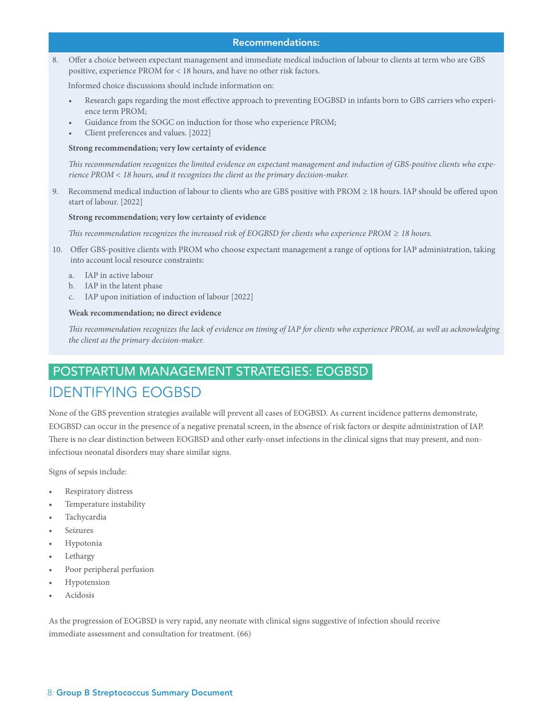8. Offer a choice between expectant management and immediate medical induction of labour to clients at term who are GBS positive, experience PROM for < 18 hours, and have no other risk factors.

Informed choice discussions should include information on:

- Research gaps regarding the most effective approach to preventing EOGBSD in infants born to GBS carriers who experience term PROM;
- Guidance from the SOGC on induction for those who experience PROM;
- Client preferences and values. [2022]

#### **Strong recommendation; very low certainty of evidence**

*This recommendation recognizes the limited evidence on expectant management and induction of GBS-positive clients who experience PROM < 18 hours, and it recognizes the client as the primary decision-maker.* 

9. Recommend medical induction of labour to clients who are GBS positive with PROM ≥ 18 hours. IAP should be offered upon start of labour. [2022]

#### **Strong recommendation; very low certainty of evidence**

*This recommendation recognizes the increased risk of EOGBSD for clients who experience PROM ≥ 18 hours.*

- 10. Offer GBS-positive clients with PROM who choose expectant management a range of options for IAP administration, taking into account local resource constraints:
	- a. IAP in active labour
	- b. IAP in the latent phase
	- c. IAP upon initiation of induction of labour [2022]

#### **Weak recommendation; no direct evidence**

*This recommendation recognizes the lack of evidence on timing of IAP for clients who experience PROM, as well as acknowledging the client as the primary decision-maker.* 

### POSTPARTUM MANAGEMENT STRATEGIES: EOGBSD IDENTIFYING EOGBSD

None of the GBS prevention strategies available will prevent all cases of EOGBSD. As current incidence patterns demonstrate, EOGBSD can occur in the presence of a negative prenatal screen, in the absence of risk factors or despite administration of IAP. There is no clear distinction between EOGBSD and other early-onset infections in the clinical signs that may present, and noninfectious neonatal disorders may share similar signs.

Signs of sepsis include:

- Respiratory distress
- Temperature instability
- **Tachycardia**
- **Seizures**
- Hypotonia
- **Lethargy**
- Poor peripheral perfusion
- Hypotension
- Acidosis

As the progression of EOGBSD is very rapid, any neonate with clinical signs suggestive of infection should receive immediate assessment and consultation for treatment. (66)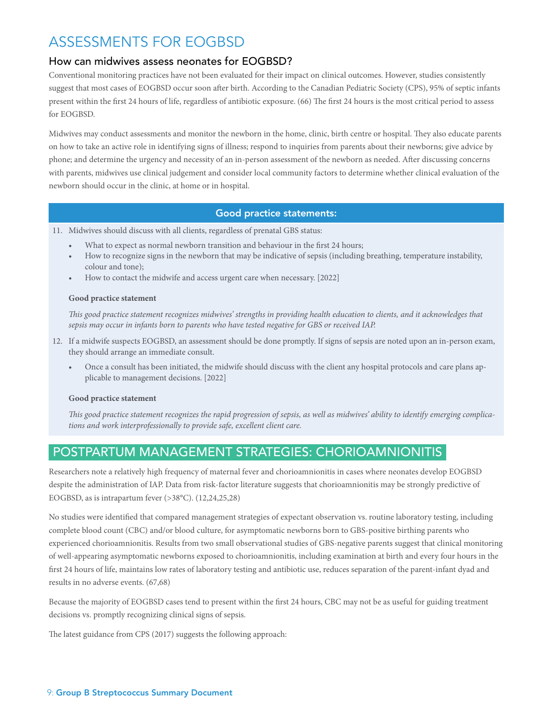### ASSESSMENTS FOR EOGBSD

### How can midwives assess neonates for EOGBSD?

Conventional monitoring practices have not been evaluated for their impact on clinical outcomes. However, studies consistently suggest that most cases of EOGBSD occur soon after birth. According to the Canadian Pediatric Society (CPS), 95% of septic infants present within the first 24 hours of life, regardless of antibiotic exposure. (66) The first 24 hours is the most critical period to assess for EOGBSD.

Midwives may conduct assessments and monitor the newborn in the home, clinic, birth centre or hospital. They also educate parents on how to take an active role in identifying signs of illness; respond to inquiries from parents about their newborns; give advice by phone; and determine the urgency and necessity of an in-person assessment of the newborn as needed. After discussing concerns with parents, midwives use clinical judgement and consider local community factors to determine whether clinical evaluation of the newborn should occur in the clinic, at home or in hospital.

### Good practice statements:

11. Midwives should discuss with all clients, regardless of prenatal GBS status:

- What to expect as normal newborn transition and behaviour in the first 24 hours;
- How to recognize signs in the newborn that may be indicative of sepsis (including breathing, temperature instability, colour and tone);
- How to contact the midwife and access urgent care when necessary. [2022]

#### **Good practice statement**

*This good practice statement recognizes midwives' strengths in providing health education to clients, and it acknowledges that sepsis may occur in infants born to parents who have tested negative for GBS or received IAP.* 

- 12. If a midwife suspects EOGBSD, an assessment should be done promptly. If signs of sepsis are noted upon an in-person exam, they should arrange an immediate consult.
	- Once a consult has been initiated, the midwife should discuss with the client any hospital protocols and care plans applicable to management decisions. [2022]

#### **Good practice statement**

*This good practice statement recognizes the rapid progression of sepsis, as well as midwives' ability to identify emerging complications and work interprofessionally to provide safe, excellent client care.* 

### POSTPARTUM MANAGEMENT STRATEGIES: CHORIOAMNIONITIS

Researchers note a relatively high frequency of maternal fever and chorioamnionitis in cases where neonates develop EOGBSD despite the administration of IAP. Data from risk-factor literature suggests that chorioamnionitis may be strongly predictive of EOGBSD, as is intrapartum fever (>38°C). (12,24,25,28)

No studies were identified that compared management strategies of expectant observation vs. routine laboratory testing, including complete blood count (CBC) and/or blood culture, for asymptomatic newborns born to GBS-positive birthing parents who experienced chorioamnionitis. Results from two small observational studies of GBS-negative parents suggest that clinical monitoring of well-appearing asymptomatic newborns exposed to chorioamnionitis, including examination at birth and every four hours in the first 24 hours of life, maintains low rates of laboratory testing and antibiotic use, reduces separation of the parent-infant dyad and results in no adverse events. (67,68)

Because the majority of EOGBSD cases tend to present within the first 24 hours, CBC may not be as useful for guiding treatment decisions vs. promptly recognizing clinical signs of sepsis.

The latest guidance from CPS (2017) suggests the following approach: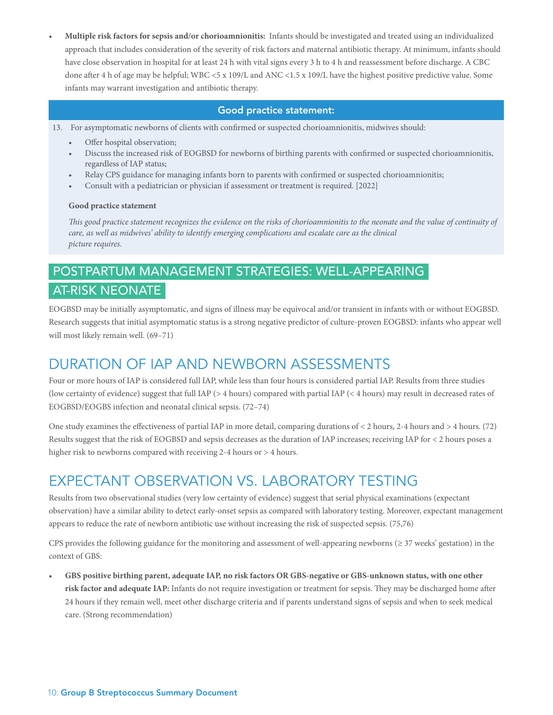• **Multiple risk factors for sepsis and/or chorioamnionitis:**  Infants should be investigated and treated using an individualized approach that includes consideration of the severity of risk factors and maternal antibiotic therapy. At minimum, infants should have close observation in hospital for at least 24 h with vital signs every 3 h to 4 h and reassessment before discharge. A CBC done after 4 h of age may be helpful; WBC <5 x 109/L and ANC <1.5 x 109/L have the highest positive predictive value. Some infants may warrant investigation and antibiotic therapy.

### Good practice statement:

13. For asymptomatic newborns of clients with confirmed or suspected chorioamnionitis, midwives should:

- Offer hospital observation;
- Discuss the increased risk of EOGBSD for newborns of birthing parents with confirmed or suspected chorioamnionitis, regardless of IAP status;
- Relay CPS guidance for managing infants born to parents with confirmed or suspected chorioamnionitis;
- Consult with a pediatrician or physician if assessment or treatment is required. [2022]

#### **Good practice statement**

*This good practice statement recognizes the evidence on the risks of chorioamnionitis to the neonate and the value of continuity of care, as well as midwives' ability to identify emerging complications and escalate care as the clinical picture requires.*

### POSTPARTUM MANAGEMENT STRATEGIES: WELL-APPEARING AT-RISK NEONATE

EOGBSD may be initially asymptomatic, and signs of illness may be equivocal and/or transient in infants with or without EOGBSD. Research suggests that initial asymptomatic status is a strong negative predictor of culture-proven EOGBSD: infants who appear well will most likely remain well. (69–71)

### DURATION OF IAP AND NEWBORN ASSESSMENTS

Four or more hours of IAP is considered full IAP, while less than four hours is considered partial IAP. Results from three studies (low certainty of evidence) suggest that full IAP (> 4 hours) compared with partial IAP (< 4 hours) may result in decreased rates of EOGBSD/EOGBS infection and neonatal clinical sepsis. (72–74)

One study examines the effectiveness of partial IAP in more detail, comparing durations of < 2 hours, 2-4 hours and > 4 hours. (72) Results suggest that the risk of EOGBSD and sepsis decreases as the duration of IAP increases; receiving IAP for < 2 hours poses a higher risk to newborns compared with receiving 2-4 hours or > 4 hours.

### EXPECTANT OBSERVATION VS. LABORATORY TESTING

Results from two observational studies (very low certainty of evidence) suggest that serial physical examinations (expectant observation) have a similar ability to detect early-onset sepsis as compared with laboratory testing. Moreover, expectant management appears to reduce the rate of newborn antibiotic use without increasing the risk of suspected sepsis. (75,76)

CPS provides the following guidance for the monitoring and assessment of well-appearing newborns ( $\geq$  37 weeks' gestation) in the context of GBS:

• **GBS positive birthing parent, adequate IAP, no risk factors OR GBS-negative or GBS-unknown status, with one other risk factor and adequate IAP:** Infants do not require investigation or treatment for sepsis. They may be discharged home after 24 hours if they remain well, meet other discharge criteria and if parents understand signs of sepsis and when to seek medical care. (Strong recommendation)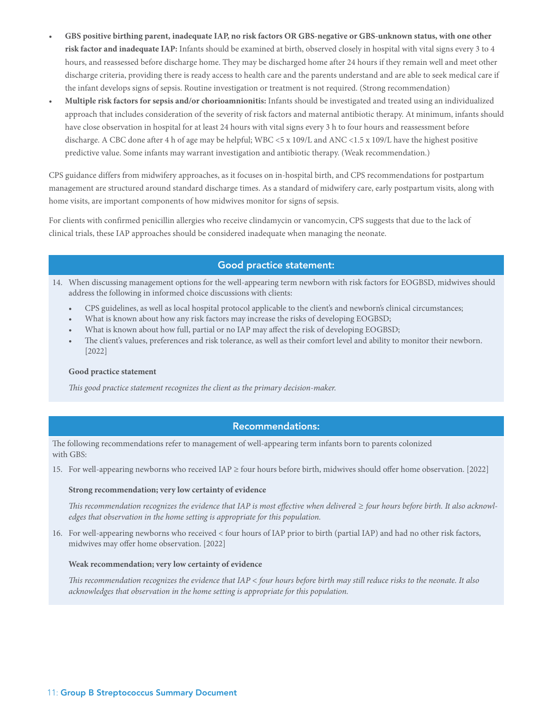- **GBS positive birthing parent, inadequate IAP, no risk factors OR GBS-negative or GBS-unknown status, with one other risk factor and inadequate IAP:** Infants should be examined at birth, observed closely in hospital with vital signs every 3 to 4 hours, and reassessed before discharge home. They may be discharged home after 24 hours if they remain well and meet other discharge criteria, providing there is ready access to health care and the parents understand and are able to seek medical care if the infant develops signs of sepsis. Routine investigation or treatment is not required. (Strong recommendation)
- **Multiple risk factors for sepsis and/or chorioamnionitis:** Infants should be investigated and treated using an individualized approach that includes consideration of the severity of risk factors and maternal antibiotic therapy. At minimum, infants should have close observation in hospital for at least 24 hours with vital signs every 3 h to four hours and reassessment before discharge. A CBC done after 4 h of age may be helpful; WBC <5 x 109/L and ANC <1.5 x 109/L have the highest positive predictive value. Some infants may warrant investigation and antibiotic therapy. (Weak recommendation.)

CPS guidance differs from midwifery approaches, as it focuses on in-hospital birth, and CPS recommendations for postpartum management are structured around standard discharge times. As a standard of midwifery care, early postpartum visits, along with home visits, are important components of how midwives monitor for signs of sepsis.

For clients with confirmed penicillin allergies who receive clindamycin or vancomycin, CPS suggests that due to the lack of clinical trials, these IAP approaches should be considered inadequate when managing the neonate.

### Good practice statement:

- 14. When discussing management options for the well-appearing term newborn with risk factors for EOGBSD, midwives should address the following in informed choice discussions with clients:
	- CPS guidelines, as well as local hospital protocol applicable to the client's and newborn's clinical circumstances;
	- What is known about how any risk factors may increase the risks of developing EOGBSD;
	- What is known about how full, partial or no IAP may affect the risk of developing EOGBSD;
	- The client's values, preferences and risk tolerance, as well as their comfort level and ability to monitor their newborn. [2022]

#### **Good practice statement**

*This good practice statement recognizes the client as the primary decision-maker.* 

### Recommendations:

The following recommendations refer to management of well-appearing term infants born to parents colonized with GBS:

15. For well-appearing newborns who received IAP ≥ four hours before birth, midwives should offer home observation. [2022]

#### **Strong recommendation; very low certainty of evidence**

*This recommendation recognizes the evidence that IAP is most effective when delivered ≥ four hours before birth. It also acknowledges that observation in the home setting is appropriate for this population.*

16. For well-appearing newborns who received < four hours of IAP prior to birth (partial IAP) and had no other risk factors, midwives may offer home observation. [2022]

#### **Weak recommendation; very low certainty of evidence**

*This recommendation recognizes the evidence that IAP < four hours before birth may still reduce risks to the neonate. It also acknowledges that observation in the home setting is appropriate for this population.*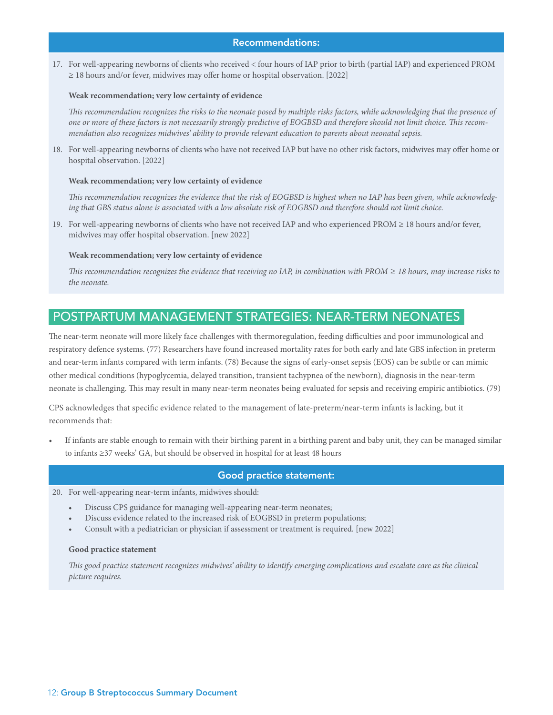#### Recommendations:

17. For well-appearing newborns of clients who received < four hours of IAP prior to birth (partial IAP) and experienced PROM ≥ 18 hours and/or fever, midwives may offer home or hospital observation. [2022]

#### **Weak recommendation; very low certainty of evidence**

*This recommendation recognizes the risks to the neonate posed by multiple risks factors, while acknowledging that the presence of one or more of these factors is not necessarily strongly predictive of EOGBSD and therefore should not limit choice. This recommendation also recognizes midwives' ability to provide relevant education to parents about neonatal sepsis.*

18. For well-appearing newborns of clients who have not received IAP but have no other risk factors, midwives may offer home or hospital observation. [2022]

#### **Weak recommendation; very low certainty of evidence**

*This recommendation recognizes the evidence that the risk of EOGBSD is highest when no IAP has been given, while acknowledging that GBS status alone is associated with a low absolute risk of EOGBSD and therefore should not limit choice.*

19. For well-appearing newborns of clients who have not received IAP and who experienced PROM ≥ 18 hours and/or fever, midwives may offer hospital observation. [new 2022]

#### **Weak recommendation; very low certainty of evidence**

*This recommendation recognizes the evidence that receiving no IAP, in combination with PROM ≥ 18 hours, may increase risks to the neonate.*

### POSTPARTUM MANAGEMENT STRATEGIES: NEAR-TERM NEONATES

The near-term neonate will more likely face challenges with thermoregulation, feeding difficulties and poor immunological and respiratory defence systems. (77) Researchers have found increased mortality rates for both early and late GBS infection in preterm and near-term infants compared with term infants. (78) Because the signs of early-onset sepsis (EOS) can be subtle or can mimic other medical conditions (hypoglycemia, delayed transition, transient tachypnea of the newborn), diagnosis in the near-term neonate is challenging. This may result in many near-term neonates being evaluated for sepsis and receiving empiric antibiotics. (79)

CPS acknowledges that specific evidence related to the management of late-preterm/near-term infants is lacking, but it recommends that:

• If infants are stable enough to remain with their birthing parent in a birthing parent and baby unit, they can be managed similar to infants ≥37 weeks' GA, but should be observed in hospital for at least 48 hours

#### Good practice statement:

- 20. For well-appearing near-term infants, midwives should:
	- Discuss CPS guidance for managing well-appearing near-term neonates;
	- Discuss evidence related to the increased risk of EOGBSD in preterm populations;
	- Consult with a pediatrician or physician if assessment or treatment is required. [new 2022]

#### **Good practice statement**

*This good practice statement recognizes midwives' ability to identify emerging complications and escalate care as the clinical picture requires.*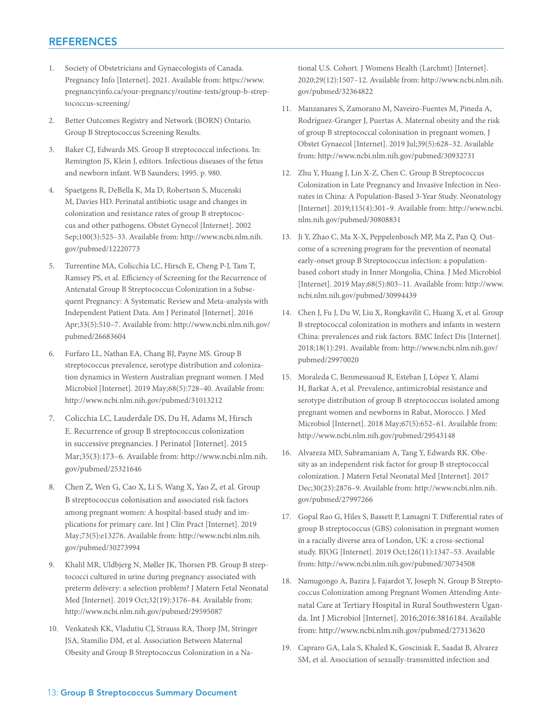### REFERENCES

- 1. Society of Obstetricians and Gynaecologists of Canada. Pregnancy Info [Internet]. 2021. Available from: https://www. pregnancyinfo.ca/your-pregnancy/routine-tests/group-b-streptococcus-screening/
- 2. Better Outcomes Registry and Network (BORN) Ontario. Group B Streptococcus Screening Results.
- 3. Baker CJ, Edwards MS. Group B streptococcal infections. In: Remington JS, Klein J, editors. Infectious diseases of the fetus and newborn infant. WB Saunders; 1995. p. 980.
- 4. Spaetgens R, DeBella K, Ma D, Robertson S, Mucenski M, Davies HD. Perinatal antibiotic usage and changes in colonization and resistance rates of group B streptococcus and other pathogens. Obstet Gynecol [Internet]. 2002 Sep;100(3):525–33. Available from: http://www.ncbi.nlm.nih. gov/pubmed/12220773
- 5. Turrentine MA, Colicchia LC, Hirsch E, Cheng P-J, Tam T, Ramsey PS, et al. Efficiency of Screening for the Recurrence of Antenatal Group B Streptococcus Colonization in a Subsequent Pregnancy: A Systematic Review and Meta-analysis with Independent Patient Data. Am J Perinatol [Internet]. 2016 Apr;33(5):510–7. Available from: http://www.ncbi.nlm.nih.gov/ pubmed/26683604
- 6. Furfaro LL, Nathan EA, Chang BJ, Payne MS. Group B streptococcus prevalence, serotype distribution and colonization dynamics in Western Australian pregnant women. J Med Microbiol [Internet]. 2019 May;68(5):728–40. Available from: http://www.ncbi.nlm.nih.gov/pubmed/31013212
- 7. Colicchia LC, Lauderdale DS, Du H, Adams M, Hirsch E. Recurrence of group B streptococcus colonization in successive pregnancies. J Perinatol [Internet]. 2015 Mar;35(3):173–6. Available from: http://www.ncbi.nlm.nih. gov/pubmed/25321646
- 8. Chen Z, Wen G, Cao X, Li S, Wang X, Yao Z, et al. Group B streptococcus colonisation and associated risk factors among pregnant women: A hospital-based study and implications for primary care. Int J Clin Pract [Internet]. 2019 May;73(5):e13276. Available from: http://www.ncbi.nlm.nih. gov/pubmed/30273994
- 9. Khalil MR, Uldbjerg N, Møller JK, Thorsen PB. Group B streptococci cultured in urine during pregnancy associated with preterm delivery: a selection problem? J Matern Fetal Neonatal Med [Internet]. 2019 Oct;32(19):3176–84. Available from: http://www.ncbi.nlm.nih.gov/pubmed/29595087
- 10. Venkatesh KK, Vladutiu CJ, Strauss RA, Thorp JM, Stringer JSA, Stamilio DM, et al. Association Between Maternal Obesity and Group B Streptococcus Colonization in a Na-

tional U.S. Cohort. J Womens Health (Larchmt) [Internet]. 2020;29(12):1507–12. Available from: http://www.ncbi.nlm.nih. gov/pubmed/32364822

- 11. Manzanares S, Zamorano M, Naveiro-Fuentes M, Pineda A, Rodríguez-Granger J, Puertas A. Maternal obesity and the risk of group B streptococcal colonisation in pregnant women. J Obstet Gynaecol [Internet]. 2019 Jul;39(5):628–32. Available from: http://www.ncbi.nlm.nih.gov/pubmed/30932731
- 12. Zhu Y, Huang J, Lin X-Z, Chen C. Group B Streptococcus Colonization in Late Pregnancy and Invasive Infection in Neonates in China: A Population-Based 3-Year Study. Neonatology [Internet]. 2019;115(4):301–9. Available from: http://www.ncbi. nlm.nih.gov/pubmed/30808831
- 13. Ji Y, Zhao C, Ma X-X, Peppelenbosch MP, Ma Z, Pan Q. Outcome of a screening program for the prevention of neonatal early-onset group B Streptococcus infection: a populationbased cohort study in Inner Mongolia, China. J Med Microbiol [Internet]. 2019 May;68(5):803–11. Available from: http://www. ncbi.nlm.nih.gov/pubmed/30994439
- 14. Chen J, Fu J, Du W, Liu X, Rongkavilit C, Huang X, et al. Group B streptococcal colonization in mothers and infants in western China: prevalences and risk factors. BMC Infect Dis [Internet]. 2018;18(1):291. Available from: http://www.ncbi.nlm.nih.gov/ pubmed/29970020
- 15. Moraleda C, Benmessaoud R, Esteban J, López Y, Alami H, Barkat A, et al. Prevalence, antimicrobial resistance and serotype distribution of group B streptococcus isolated among pregnant women and newborns in Rabat, Morocco. J Med Microbiol [Internet]. 2018 May;67(5):652–61. Available from: http://www.ncbi.nlm.nih.gov/pubmed/29543148
- 16. Alvareza MD, Subramaniam A, Tang Y, Edwards RK. Obesity as an independent risk factor for group B streptococcal colonization. J Matern Fetal Neonatal Med [Internet]. 2017 Dec;30(23):2876–9. Available from: http://www.ncbi.nlm.nih. gov/pubmed/27997266
- 17. Gopal Rao G, Hiles S, Bassett P, Lamagni T. Differential rates of group B streptococcus (GBS) colonisation in pregnant women in a racially diverse area of London, UK: a cross-sectional study. BJOG [Internet]. 2019 Oct;126(11):1347–53. Available from: http://www.ncbi.nlm.nih.gov/pubmed/30734508
- 18. Namugongo A, Bazira J, Fajardot Y, Joseph N. Group B Streptococcus Colonization among Pregnant Women Attending Antenatal Care at Tertiary Hospital in Rural Southwestern Uganda. Int J Microbiol [Internet]. 2016;2016:3816184. Available from: http://www.ncbi.nlm.nih.gov/pubmed/27313620
- 19. Capraro GA, Lala S, Khaled K, Gosciniak E, Saadat B, Alvarez SM, et al. Association of sexually-transmitted infection and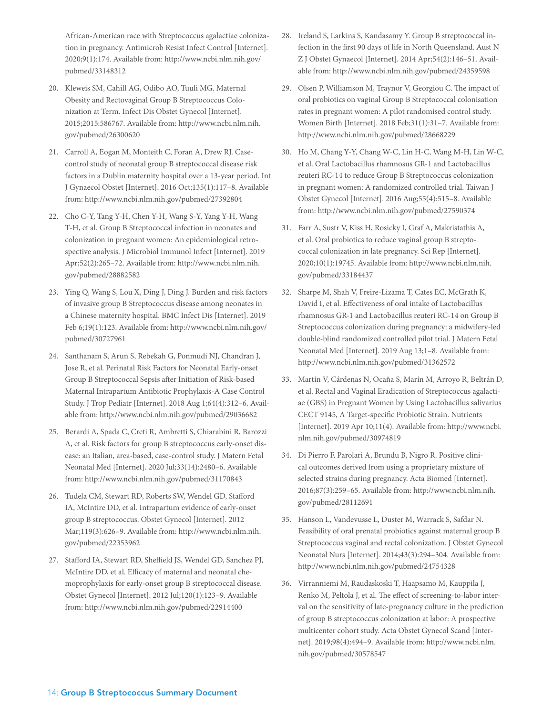African-American race with Streptococcus agalactiae colonization in pregnancy. Antimicrob Resist Infect Control [Internet]. 2020;9(1):174. Available from: http://www.ncbi.nlm.nih.gov/ pubmed/33148312

- 20. Kleweis SM, Cahill AG, Odibo AO, Tuuli MG. Maternal Obesity and Rectovaginal Group B Streptococcus Colonization at Term. Infect Dis Obstet Gynecol [Internet]. 2015;2015:586767. Available from: http://www.ncbi.nlm.nih. gov/pubmed/26300620
- 21. Carroll A, Eogan M, Monteith C, Foran A, Drew RJ. Casecontrol study of neonatal group B streptococcal disease risk factors in a Dublin maternity hospital over a 13-year period. Int J Gynaecol Obstet [Internet]. 2016 Oct;135(1):117–8. Available from: http://www.ncbi.nlm.nih.gov/pubmed/27392804
- 22. Cho C-Y, Tang Y-H, Chen Y-H, Wang S-Y, Yang Y-H, Wang T-H, et al. Group B Streptococcal infection in neonates and colonization in pregnant women: An epidemiological retrospective analysis. J Microbiol Immunol Infect [Internet]. 2019 Apr;52(2):265–72. Available from: http://www.ncbi.nlm.nih. gov/pubmed/28882582
- 23. Ying Q, Wang S, Lou X, Ding J, Ding J. Burden and risk factors of invasive group B Streptococcus disease among neonates in a Chinese maternity hospital. BMC Infect Dis [Internet]. 2019 Feb 6;19(1):123. Available from: http://www.ncbi.nlm.nih.gov/ pubmed/30727961
- 24. Santhanam S, Arun S, Rebekah G, Ponmudi NJ, Chandran J, Jose R, et al. Perinatal Risk Factors for Neonatal Early-onset Group B Streptococcal Sepsis after Initiation of Risk-based Maternal Intrapartum Antibiotic Prophylaxis-A Case Control Study. J Trop Pediatr [Internet]. 2018 Aug 1;64(4):312–6. Available from: http://www.ncbi.nlm.nih.gov/pubmed/29036682
- 25. Berardi A, Spada C, Creti R, Ambretti S, Chiarabini R, Barozzi A, et al. Risk factors for group B streptococcus early-onset disease: an Italian, area-based, case-control study. J Matern Fetal Neonatal Med [Internet]. 2020 Jul;33(14):2480–6. Available from: http://www.ncbi.nlm.nih.gov/pubmed/31170843
- 26. Tudela CM, Stewart RD, Roberts SW, Wendel GD, Stafford IA, McIntire DD, et al. Intrapartum evidence of early-onset group B streptococcus. Obstet Gynecol [Internet]. 2012 Mar;119(3):626–9. Available from: http://www.ncbi.nlm.nih. gov/pubmed/22353962
- 27. Stafford IA, Stewart RD, Sheffield JS, Wendel GD, Sanchez PJ, McIntire DD, et al. Efficacy of maternal and neonatal chemoprophylaxis for early-onset group B streptococcal disease. Obstet Gynecol [Internet]. 2012 Jul;120(1):123–9. Available from: http://www.ncbi.nlm.nih.gov/pubmed/22914400
- 28. Ireland S, Larkins S, Kandasamy Y. Group B streptococcal infection in the first 90 days of life in North Queensland. Aust N Z J Obstet Gynaecol [Internet]. 2014 Apr;54(2):146–51. Available from: http://www.ncbi.nlm.nih.gov/pubmed/24359598
- 29. Olsen P, Williamson M, Traynor V, Georgiou C. The impact of oral probiotics on vaginal Group B Streptococcal colonisation rates in pregnant women: A pilot randomised control study. Women Birth [Internet]. 2018 Feb;31(1):31–7. Available from: http://www.ncbi.nlm.nih.gov/pubmed/28668229
- 30. Ho M, Chang Y-Y, Chang W-C, Lin H-C, Wang M-H, Lin W-C, et al. Oral Lactobacillus rhamnosus GR-1 and Lactobacillus reuteri RC-14 to reduce Group B Streptococcus colonization in pregnant women: A randomized controlled trial. Taiwan J Obstet Gynecol [Internet]. 2016 Aug;55(4):515–8. Available from: http://www.ncbi.nlm.nih.gov/pubmed/27590374
- 31. Farr A, Sustr V, Kiss H, Rosicky I, Graf A, Makristathis A, et al. Oral probiotics to reduce vaginal group B streptococcal colonization in late pregnancy. Sci Rep [Internet]. 2020;10(1):19745. Available from: http://www.ncbi.nlm.nih. gov/pubmed/33184437
- 32. Sharpe M, Shah V, Freire-Lizama T, Cates EC, McGrath K, David I, et al. Effectiveness of oral intake of Lactobacillus rhamnosus GR-1 and Lactobacillus reuteri RC-14 on Group B Streptococcus colonization during pregnancy: a midwifery-led double-blind randomized controlled pilot trial. J Matern Fetal Neonatal Med [Internet]. 2019 Aug 13;1–8. Available from: http://www.ncbi.nlm.nih.gov/pubmed/31362572
- 33. Martín V, Cárdenas N, Ocaña S, Marín M, Arroyo R, Beltrán D, et al. Rectal and Vaginal Eradication of Streptococcus agalactiae (GBS) in Pregnant Women by Using Lactobacillus salivarius CECT 9145, A Target-specific Probiotic Strain. Nutrients [Internet]. 2019 Apr 10;11(4). Available from: http://www.ncbi. nlm.nih.gov/pubmed/30974819
- 34. Di Pierro F, Parolari A, Brundu B, Nigro R. Positive clinical outcomes derived from using a proprietary mixture of selected strains during pregnancy. Acta Biomed [Internet]. 2016;87(3):259–65. Available from: http://www.ncbi.nlm.nih. gov/pubmed/28112691
- 35. Hanson L, Vandevusse L, Duster M, Warrack S, Safdar N. Feasibility of oral prenatal probiotics against maternal group B Streptococcus vaginal and rectal colonization. J Obstet Gynecol Neonatal Nurs [Internet]. 2014;43(3):294–304. Available from: http://www.ncbi.nlm.nih.gov/pubmed/24754328
- 36. Virranniemi M, Raudaskoski T, Haapsamo M, Kauppila J, Renko M, Peltola J, et al. The effect of screening-to-labor interval on the sensitivity of late-pregnancy culture in the prediction of group B streptococcus colonization at labor: A prospective multicenter cohort study. Acta Obstet Gynecol Scand [Internet]. 2019;98(4):494–9. Available from: http://www.ncbi.nlm. nih.gov/pubmed/30578547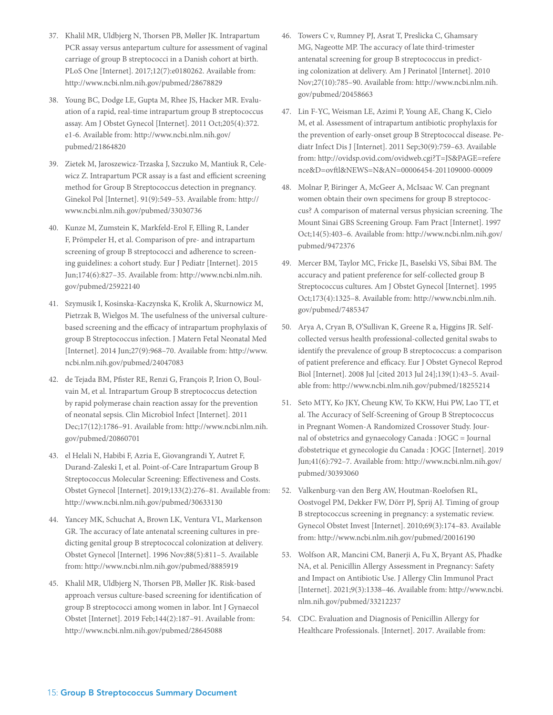- 37. Khalil MR, Uldbjerg N, Thorsen PB, Møller JK. Intrapartum PCR assay versus antepartum culture for assessment of vaginal carriage of group B streptococci in a Danish cohort at birth. PLoS One [Internet]. 2017;12(7):e0180262. Available from: http://www.ncbi.nlm.nih.gov/pubmed/28678829
- 38. Young BC, Dodge LE, Gupta M, Rhee JS, Hacker MR. Evaluation of a rapid, real-time intrapartum group B streptococcus assay. Am J Obstet Gynecol [Internet]. 2011 Oct;205(4):372. e1-6. Available from: http://www.ncbi.nlm.nih.gov/ pubmed/21864820
- 39. Zietek M, Jaroszewicz-Trzaska J, Szczuko M, Mantiuk R, Celewicz Z. Intrapartum PCR assay is a fast and efficient screening method for Group B Streptococcus detection in pregnancy. Ginekol Pol [Internet]. 91(9):549–53. Available from: http:// www.ncbi.nlm.nih.gov/pubmed/33030736
- 40. Kunze M, Zumstein K, Markfeld-Erol F, Elling R, Lander F, Prömpeler H, et al. Comparison of pre- and intrapartum screening of group B streptococci and adherence to screening guidelines: a cohort study. Eur J Pediatr [Internet]. 2015 Jun;174(6):827–35. Available from: http://www.ncbi.nlm.nih. gov/pubmed/25922140
- 41. Szymusik I, Kosinska-Kaczynska K, Krolik A, Skurnowicz M, Pietrzak B, Wielgos M. The usefulness of the universal culturebased screening and the efficacy of intrapartum prophylaxis of group B Streptococcus infection. J Matern Fetal Neonatal Med [Internet]. 2014 Jun;27(9):968–70. Available from: http://www. ncbi.nlm.nih.gov/pubmed/24047083
- 42. de Tejada BM, Pfister RE, Renzi G, François P, Irion O, Boulvain M, et al. Intrapartum Group B streptococcus detection by rapid polymerase chain reaction assay for the prevention of neonatal sepsis. Clin Microbiol Infect [Internet]. 2011 Dec;17(12):1786–91. Available from: http://www.ncbi.nlm.nih. gov/pubmed/20860701
- 43. el Helali N, Habibi F, Azria E, Giovangrandi Y, Autret F, Durand-Zaleski I, et al. Point-of-Care Intrapartum Group B Streptococcus Molecular Screening: Effectiveness and Costs. Obstet Gynecol [Internet]. 2019;133(2):276–81. Available from: http://www.ncbi.nlm.nih.gov/pubmed/30633130
- 44. Yancey MK, Schuchat A, Brown LK, Ventura VL, Markenson GR. The accuracy of late antenatal screening cultures in predicting genital group B streptococcal colonization at delivery. Obstet Gynecol [Internet]. 1996 Nov;88(5):811–5. Available from: http://www.ncbi.nlm.nih.gov/pubmed/8885919
- 45. Khalil MR, Uldbjerg N, Thorsen PB, Møller JK. Risk-based approach versus culture-based screening for identification of group B streptococci among women in labor. Int J Gynaecol Obstet [Internet]. 2019 Feb;144(2):187–91. Available from: http://www.ncbi.nlm.nih.gov/pubmed/28645088
- 46. Towers C v, Rumney PJ, Asrat T, Preslicka C, Ghamsary MG, Nageotte MP. The accuracy of late third-trimester antenatal screening for group B streptococcus in predicting colonization at delivery. Am J Perinatol [Internet]. 2010 Nov;27(10):785–90. Available from: http://www.ncbi.nlm.nih. gov/pubmed/20458663
- 47. Lin F-YC, Weisman LE, Azimi P, Young AE, Chang K, Cielo M, et al. Assessment of intrapartum antibiotic prophylaxis for the prevention of early-onset group B Streptococcal disease. Pediatr Infect Dis J [Internet]. 2011 Sep;30(9):759–63. Available from: http://ovidsp.ovid.com/ovidweb.cgi?T=JS&PAGE=refere nce&D=ovftl&NEWS=N&AN=00006454-201109000-00009
- 48. Molnar P, Biringer A, McGeer A, McIsaac W. Can pregnant women obtain their own specimens for group B streptococcus? A comparison of maternal versus physician screening. The Mount Sinai GBS Screening Group. Fam Pract [Internet]. 1997 Oct;14(5):403–6. Available from: http://www.ncbi.nlm.nih.gov/ pubmed/9472376
- 49. Mercer BM, Taylor MC, Fricke JL, Baselski VS, Sibai BM. The accuracy and patient preference for self-collected group B Streptococcus cultures. Am J Obstet Gynecol [Internet]. 1995 Oct;173(4):1325–8. Available from: http://www.ncbi.nlm.nih. gov/pubmed/7485347
- 50. Arya A, Cryan B, O'Sullivan K, Greene R a, Higgins JR. Selfcollected versus health professional-collected genital swabs to identify the prevalence of group B streptococcus: a comparison of patient preference and efficacy. Eur J Obstet Gynecol Reprod Biol [Internet]. 2008 Jul [cited 2013 Jul 24];139(1):43–5. Available from: http://www.ncbi.nlm.nih.gov/pubmed/18255214
- 51. Seto MTY, Ko JKY, Cheung KW, To KKW, Hui PW, Lao TT, et al. The Accuracy of Self-Screening of Group B Streptococcus in Pregnant Women-A Randomized Crossover Study. Journal of obstetrics and gynaecology Canada : JOGC = Journal d'obstetrique et gynecologie du Canada : JOGC [Internet]. 2019 Jun;41(6):792–7. Available from: http://www.ncbi.nlm.nih.gov/ pubmed/30393060
- 52. Valkenburg-van den Berg AW, Houtman-Roelofsen RL, Oostvogel PM, Dekker FW, Dörr PJ, Sprij AJ. Timing of group B streptococcus screening in pregnancy: a systematic review. Gynecol Obstet Invest [Internet]. 2010;69(3):174–83. Available from: http://www.ncbi.nlm.nih.gov/pubmed/20016190
- 53. Wolfson AR, Mancini CM, Banerji A, Fu X, Bryant AS, Phadke NA, et al. Penicillin Allergy Assessment in Pregnancy: Safety and Impact on Antibiotic Use. J Allergy Clin Immunol Pract [Internet]. 2021;9(3):1338–46. Available from: http://www.ncbi. nlm.nih.gov/pubmed/33212237
- 54. CDC. Evaluation and Diagnosis of Penicillin Allergy for Healthcare Professionals. [Internet]. 2017. Available from: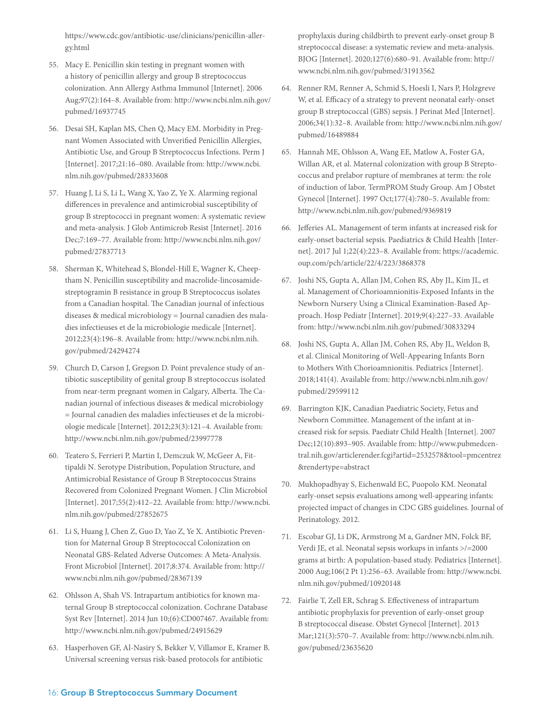https://www.cdc.gov/antibiotic-use/clinicians/penicillin-allergy.html

- 55. Macy E. Penicillin skin testing in pregnant women with a history of penicillin allergy and group B streptococcus colonization. Ann Allergy Asthma Immunol [Internet]. 2006 Aug;97(2):164–8. Available from: http://www.ncbi.nlm.nih.gov/ pubmed/16937745
- 56. Desai SH, Kaplan MS, Chen Q, Macy EM. Morbidity in Pregnant Women Associated with Unverified Penicillin Allergies, Antibiotic Use, and Group B Streptococcus Infections. Perm J [Internet]. 2017;21:16–080. Available from: http://www.ncbi. nlm.nih.gov/pubmed/28333608
- 57. Huang J, Li S, Li L, Wang X, Yao Z, Ye X. Alarming regional differences in prevalence and antimicrobial susceptibility of group B streptococci in pregnant women: A systematic review and meta-analysis. J Glob Antimicrob Resist [Internet]. 2016 Dec;7:169–77. Available from: http://www.ncbi.nlm.nih.gov/ pubmed/27837713
- 58. Sherman K, Whitehead S, Blondel-Hill E, Wagner K, Cheeptham N. Penicillin susceptibility and macrolide-lincosamidestreptogramin B resistance in group B Streptococcus isolates from a Canadian hospital. The Canadian journal of infectious diseases & medical microbiology = Journal canadien des maladies infectieuses et de la microbiologie medicale [Internet]. 2012;23(4):196–8. Available from: http://www.ncbi.nlm.nih. gov/pubmed/24294274
- 59. Church D, Carson J, Gregson D. Point prevalence study of antibiotic susceptibility of genital group B streptococcus isolated from near-term pregnant women in Calgary, Alberta. The Canadian journal of infectious diseases & medical microbiology = Journal canadien des maladies infectieuses et de la microbiologie medicale [Internet]. 2012;23(3):121–4. Available from: http://www.ncbi.nlm.nih.gov/pubmed/23997778
- 60. Teatero S, Ferrieri P, Martin I, Demczuk W, McGeer A, Fittipaldi N. Serotype Distribution, Population Structure, and Antimicrobial Resistance of Group B Streptococcus Strains Recovered from Colonized Pregnant Women. J Clin Microbiol [Internet]. 2017;55(2):412–22. Available from: http://www.ncbi. nlm.nih.gov/pubmed/27852675
- 61. Li S, Huang J, Chen Z, Guo D, Yao Z, Ye X. Antibiotic Prevention for Maternal Group B Streptococcal Colonization on Neonatal GBS-Related Adverse Outcomes: A Meta-Analysis. Front Microbiol [Internet]. 2017;8:374. Available from: http:// www.ncbi.nlm.nih.gov/pubmed/28367139
- 62. Ohlsson A, Shah VS. Intrapartum antibiotics for known maternal Group B streptococcal colonization. Cochrane Database Syst Rev [Internet]. 2014 Jun 10;(6):CD007467. Available from: http://www.ncbi.nlm.nih.gov/pubmed/24915629
- 63. Hasperhoven GF, Al-Nasiry S, Bekker V, Villamor E, Kramer B. Universal screening versus risk-based protocols for antibiotic

prophylaxis during childbirth to prevent early-onset group B streptococcal disease: a systematic review and meta-analysis. BJOG [Internet]. 2020;127(6):680–91. Available from: http:// www.ncbi.nlm.nih.gov/pubmed/31913562

- 64. Renner RM, Renner A, Schmid S, Hoesli I, Nars P, Holzgreve W, et al. Efficacy of a strategy to prevent neonatal early-onset group B streptococcal (GBS) sepsis. J Perinat Med [Internet]. 2006;34(1):32–8. Available from: http://www.ncbi.nlm.nih.gov/ pubmed/16489884
- 65. Hannah ME, Ohlsson A, Wang EE, Matlow A, Foster GA, Willan AR, et al. Maternal colonization with group B Streptococcus and prelabor rupture of membranes at term: the role of induction of labor. TermPROM Study Group. Am J Obstet Gynecol [Internet]. 1997 Oct;177(4):780–5. Available from: http://www.ncbi.nlm.nih.gov/pubmed/9369819
- 66. Jefferies AL. Management of term infants at increased risk for early-onset bacterial sepsis. Paediatrics & Child Health [Internet]. 2017 Jul 1;22(4):223–8. Available from: https://academic. oup.com/pch/article/22/4/223/3868378
- 67. Joshi NS, Gupta A, Allan JM, Cohen RS, Aby JL, Kim JL, et al. Management of Chorioamnionitis-Exposed Infants in the Newborn Nursery Using a Clinical Examination-Based Approach. Hosp Pediatr [Internet]. 2019;9(4):227–33. Available from: http://www.ncbi.nlm.nih.gov/pubmed/30833294
- 68. Joshi NS, Gupta A, Allan JM, Cohen RS, Aby JL, Weldon B, et al. Clinical Monitoring of Well-Appearing Infants Born to Mothers With Chorioamnionitis. Pediatrics [Internet]. 2018;141(4). Available from: http://www.ncbi.nlm.nih.gov/ pubmed/29599112
- 69. Barrington KJK, Canadian Paediatric Society, Fetus and Newborn Committee. Management of the infant at increased risk for sepsis. Paediatr Child Health [Internet]. 2007 Dec;12(10):893–905. Available from: http://www.pubmedcentral.nih.gov/articlerender.fcgi?artid=2532578&tool=pmcentrez &rendertype=abstract
- 70. Mukhopadhyay S, Eichenwald EC, Puopolo KM. Neonatal early-onset sepsis evaluations among well-appearing infants: projected impact of changes in CDC GBS guidelines. Journal of Perinatology. 2012.
- 71. Escobar GJ, Li DK, Armstrong M a, Gardner MN, Folck BF, Verdi JE, et al. Neonatal sepsis workups in infants >/=2000 grams at birth: A population-based study. Pediatrics [Internet]. 2000 Aug;106(2 Pt 1):256–63. Available from: http://www.ncbi. nlm.nih.gov/pubmed/10920148
- 72. Fairlie T, Zell ER, Schrag S. Effectiveness of intrapartum antibiotic prophylaxis for prevention of early-onset group B streptococcal disease. Obstet Gynecol [Internet]. 2013 Mar;121(3):570–7. Available from: http://www.ncbi.nlm.nih. gov/pubmed/23635620